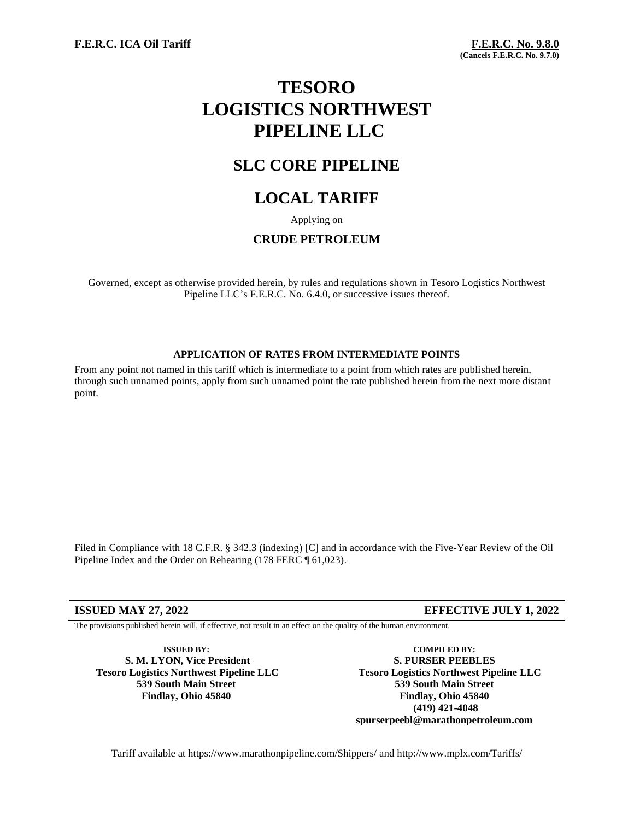# **TESORO LOGISTICS NORTHWEST PIPELINE LLC**

## **SLC CORE PIPELINE**

## **LOCAL TARIFF**

Applying on

### **CRUDE PETROLEUM**

Governed, except as otherwise provided herein, by rules and regulations shown in Tesoro Logistics Northwest Pipeline LLC's F.E.R.C. No. 6.4.0, or successive issues thereof.

#### **APPLICATION OF RATES FROM INTERMEDIATE POINTS**

From any point not named in this tariff which is intermediate to a point from which rates are published herein, through such unnamed points, apply from such unnamed point the rate published herein from the next more distant point.

Filed in Compliance with 18 C.F.R. § 342.3 (indexing) [C] and in accordance with the Five-Year Review of the Oil Pipeline Index and the Order on Rehearing (178 FERC ¶ 61,023).

#### **ISSUED MAY 27, 2022 EFFECTIVE JULY 1, 2022**

The provisions published herein will, if effective, not result in an effect on the quality of the human environment.

**ISSUED BY: S. M. LYON, Vice President Tesoro Logistics Northwest Pipeline LLC 539 South Main Street Findlay, Ohio 45840**

**COMPILED BY: S. PURSER PEEBLES Tesoro Logistics Northwest Pipeline LLC 539 South Main Street Findlay, Ohio 45840 (419) 421-4048 spurserpeebl@marathonpetroleum.com**

Tariff available at https://www.marathonpipeline.com/Shippers/ and http://www.mplx.com/Tariffs/